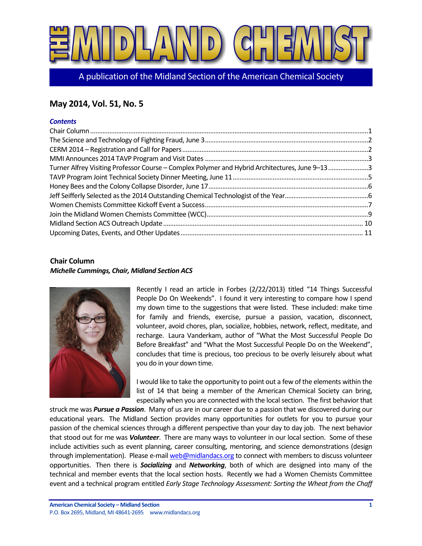

A publication of the Midland Section of the American Chemical Society

# **May 2014, Vol. 51, No. 5**

### *Contents*

| Turner Alfrey Visiting Professor Course - Complex Polymer and Hybrid Architectures, June 9-133 |  |
|------------------------------------------------------------------------------------------------|--|
|                                                                                                |  |
|                                                                                                |  |
|                                                                                                |  |
|                                                                                                |  |
|                                                                                                |  |
|                                                                                                |  |
|                                                                                                |  |

# <span id="page-0-0"></span>**Chair Column**

### *Michelle Cummings, Chair, Midland Section ACS*



Recently I read an article in Forbes (2/22/2013) titled "14 Things Successful People Do On Weekends". I found it very interesting to compare how I spend my down time to the suggestions that were listed. These included: make time for family and friends, exercise, pursue a passion, vacation, disconnect, volunteer, avoid chores, plan, socialize, hobbies, network, reflect, meditate, and recharge. Laura Vanderkam, author of "What the Most Successful People Do Before Breakfast" and "What the Most Successful People Do on the Weekend", concludes that time is precious, too precious to be overly leisurely about what you do in your down time.

I would like to take the opportunity to point out a few of the elements within the list of 14 that being a member of the American Chemical Society can bring, especially when you are connected with the local section. The first behavior that

struck me was *Pursue a Passion*. Many of us are in our career due to a passion that we discovered during our educational years. The Midland Section provides many opportunities for outlets for you to pursue your passion of the chemical sciences through a different perspective than your day to day job. The next behavior that stood out for me was *Volunteer*. There are many ways to volunteer in our local section. Some of these include activities such as event planning, career consulting, mentoring, and science demonstrations (design through implementation). Please e-mai[l web@midlandacs.org](mailto:web@midlandacs.org) to connect with members to discuss volunteer opportunities. Then there is *Socializing* and *Networking*, both of which are designed into many of the technical and member events that the local section hosts. Recently we had a Women Chemists Committee event and a technical program entitled *Early Stage Technology Assessment: Sorting the Wheat from the Chaff*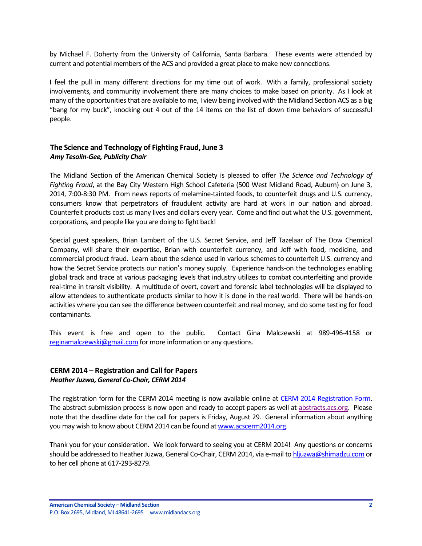by Michael F. Doherty from the University of California, Santa Barbara. These events were attended by current and potential members of the ACS and provided a great place to make new connections.

I feel the pull in many different directions for my time out of work. With a family, professional society involvements, and community involvement there are many choices to make based on priority. As I look at many of the opportunities that are available to me, I view being involved with the Midland Section ACS as a big "bang for my buck", knocking out 4 out of the 14 items on the list of down time behaviors of successful people.

# <span id="page-1-0"></span>**The Science and Technology of Fighting Fraud, June 3** *Amy Tesolin-Gee, Publicity Chair*

The Midland Section of the American Chemical Society is pleased to offer *The Science and Technology of Fighting Fraud*, at the Bay City Western High School Cafeteria (500 West Midland Road, Auburn) on June 3, 2014, 7:00-8:30 PM. From news reports of melamine-tainted foods, to counterfeit drugs and U.S. currency, consumers know that perpetrators of fraudulent activity are hard at work in our nation and abroad. Counterfeit products cost us many lives and dollars every year. Come and find out what the U.S. government, corporations, and people like you are doing to fight back!

Special guest speakers, Brian Lambert of the U.S. Secret Service, and Jeff Tazelaar of The Dow Chemical Company, will share their expertise, Brian with counterfeit currency, and Jeff with food, medicine, and commercial product fraud. Learn about the science used in various schemes to counterfeit U.S. currency and how the Secret Service protects our nation's money supply. Experience hands-on the technologies enabling global track and trace at various packaging levels that industry utilizes to combat counterfeiting and provide real-time in transit visibility. A multitude of overt, covert and forensic label technologies will be displayed to allow attendees to authenticate products similar to how it is done in the real world. There will be hands-on activities where you can see the difference between counterfeit and real money, and do some testing for food contaminants.

This event is free and open to the public. Contact Gina Malczewski at 989-496-4158 or [reginamalczewski@gmail.com](mailto:reginamalczewski@gmail.com) for more information or any questions.

# <span id="page-1-1"></span>**CERM 2014 – Registration and Call for Papers** *Heather Juzwa, General Co-Chair, CERM 2014*

The registration form for the CERM 2014 meeting is now available online at [CERM 2014 Registration Form.](http://www.pittsburghacs.org/national/wp-content/uploads/2012/10/CERM-Final-Registration-Form-with-Rum-3-17-141.pdf) The abstract submission process is now open and ready to accept papers as well at [abstracts.acs.org.](http://abstracts.acs.org/) Please note that the deadline date for the call for papers is Friday, August 29. General information about anything you may wish to know about CERM 2014 can be found at [www.acscerm2014.org.](http://www.acscerm2014.org/)

Thank you for your consideration. We look forward to seeing you at CERM 2014! Any questions or concerns should be addressed to Heather Juzwa, General Co-Chair, CERM 2014, via e-mail t[o hljuzwa@shimadzu.com](mailto:hljuzwa@shimadzu.com) or to her cell phone at 617-293-8279.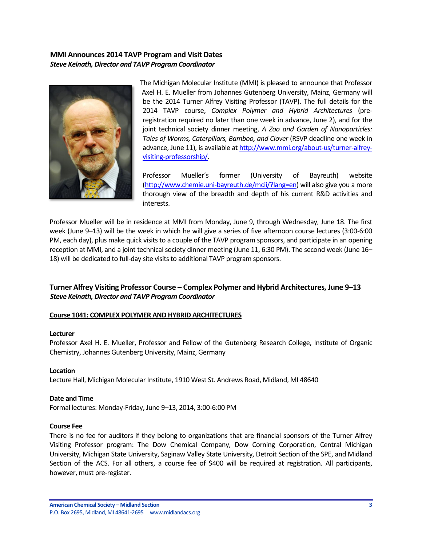## <span id="page-2-0"></span>**MMI Announces 2014 TAVP Program and Visit Dates** *Steve Keinath, Director and TAVP Program Coordinator*



The Michigan Molecular Institute (MMI) is pleased to announce that Professor Axel H. E. Mueller from Johannes Gutenberg University, Mainz, Germany will be the 2014 Turner Alfrey Visiting Professor (TAVP). The full details for the 2014 TAVP course, *Complex Polymer and Hybrid Architectures* (preregistration required no later than one week in advance, June 2), and for the joint technical society dinner meeting, *A Zoo and Garden of Nanoparticles: Tales of Worms, Caterpillars, Bamboo, and Clover* (RSVP deadline one week in advance, June 11), is available a[t http://www.mmi.org/about-us/turner-alfrey](http://www.mmi.org/about-us/turner-alfrey-visiting-professorship/)[visiting-professorship/.](http://www.mmi.org/about-us/turner-alfrey-visiting-professorship/)

Professor Mueller's former (University of Bayreuth) website [\(http://www.chemie.uni-bayreuth.de/mcii/?lang=en\)](http://www.chemie.uni-bayreuth.de/mcii/?lang=en) will also give you a more thorough view of the breadth and depth of his current R&D activities and interests.

Professor Mueller will be in residence at MMI from Monday, June 9, through Wednesday, June 18. The first week (June 9–13) will be the week in which he will give a series of five afternoon course lectures (3:00-6:00 PM, each day), plus make quick visits to a couple of the TAVP program sponsors, and participate in an opening reception at MMI, and a joint technical society dinner meeting (June 11, 6:30 PM). The second week (June 16– 18) will be dedicated to full-day site visits to additional TAVP program sponsors.

# <span id="page-2-1"></span>**Turner Alfrey Visiting Professor Course – Complex Polymer and Hybrid Architectures, June 9–13** *Steve Keinath, Director and TAVP Program Coordinator*

### **Course 1041: COMPLEX POLYMER AND HYBRID ARCHITECTURES**

#### **Lecturer**

Professor Axel H. E. Mueller, Professor and Fellow of the Gutenberg Research College, Institute of Organic Chemistry, Johannes Gutenberg University, Mainz, Germany

### **Location**

Lecture Hall, Michigan Molecular Institute, 1910 West St. Andrews Road, Midland, MI 48640

### **Date and Time**

Formal lectures: Monday-Friday, June 9–13, 2014, 3:00-6:00 PM

### **Course Fee**

There is no fee for auditors if they belong to organizations that are financial sponsors of the Turner Alfrey Visiting Professor program: The Dow Chemical Company, Dow Corning Corporation, Central Michigan University, Michigan State University, Saginaw Valley State University, Detroit Section of the SPE, and Midland Section of the ACS. For all others, a course fee of \$400 will be required at registration. All participants, however, must pre-register.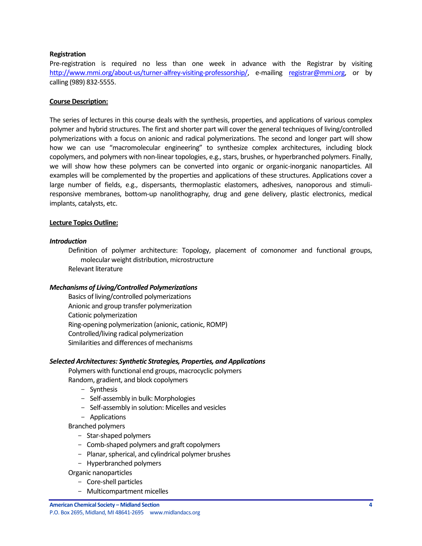### **Registration**

Pre-registration is required no less than one week in advance with the Registrar by visiting [http://www.mmi.org/about-us/turner-alfrey-visiting-professorship/,](http://www.mmi.org/about-us/turner-alfrey-visiting-professorship/) e-mailing [registrar@mmi.org,](mailto:registrar@mmi.org) or by calling (989) 832-5555.

### **Course Description:**

The series of lectures in this course deals with the synthesis, properties, and applications of various complex polymer and hybrid structures. The first and shorter part will cover the general techniques of living/controlled polymerizations with a focus on anionic and radical polymerizations. The second and longer part will show how we can use "macromolecular engineering" to synthesize complex architectures, including block copolymers, and polymers with non-linear topologies, e.g., stars, brushes, or hyperbranched polymers. Finally, we will show how these polymers can be converted into organic or organic-inorganic nanoparticles. All examples will be complemented by the properties and applications of these structures. Applications cover a large number of fields, e.g., dispersants, thermoplastic elastomers, adhesives, nanoporous and stimuliresponsive membranes, bottom-up nanolithography, drug and gene delivery, plastic electronics, medical implants, catalysts, etc.

#### **Lecture Topics Outline:**

### *Introduction*

Definition of polymer architecture: Topology, placement of comonomer and functional groups, molecular weight distribution, microstructure Relevant literature

### *Mechanisms of Living/Controlled Polymerizations*

Basics of living/controlled polymerizations Anionic and group transfer polymerization Cationic polymerization Ring-opening polymerization (anionic, cationic, ROMP) Controlled/living radical polymerization Similarities and differences of mechanisms

### *Selected Architectures: Synthetic Strategies, Properties, and Applications*

Polymers with functional end groups, macrocyclic polymers Random, gradient, and block copolymers

- Synthesis
- Self-assembly in bulk: Morphologies
- Self-assembly in solution: Micelles and vesicles
- Applications

Branched polymers

- Star-shaped polymers
- Comb-shaped polymers and graft copolymers
- Planar, spherical, and cylindrical polymer brushes
- Hyperbranched polymers

Organic nanoparticles

- Core-shell particles
- Multicompartment micelles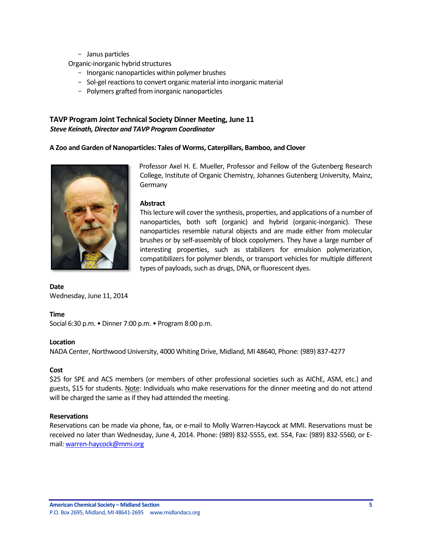- Janus particles

Organic-inorganic hybrid structures

- Inorganic nanoparticles within polymer brushes
- Sol-gel reactions to convert organic material into inorganic material
- Polymers grafted from inorganic nanoparticles

# <span id="page-4-0"></span>**TAVP Program Joint Technical Society Dinner Meeting, June 11** *Steve Keinath, Director and TAVP Program Coordinator*

### **A Zoo and Garden of Nanoparticles: Tales of Worms, Caterpillars, Bamboo, and Clover**



Professor Axel H. E. Mueller, Professor and Fellow of the Gutenberg Research College, Institute of Organic Chemistry, Johannes Gutenberg University, Mainz, Germany

### **Abstract**

This lecture will cover the synthesis, properties, and applications of a number of nanoparticles, both soft (organic) and hybrid (organic-inorganic). These nanoparticles resemble natural objects and are made either from molecular brushes or by self-assembly of block copolymers. They have a large number of interesting properties, such as stabilizers for emulsion polymerization, compatibilizers for polymer blends, or transport vehicles for multiple different types of payloads, such as drugs, DNA, or fluorescent dyes.

### **Date**

Wednesday, June 11, 2014

### **Time**

Social 6:30 p.m. • Dinner 7:00 p.m. • Program 8:00 p.m.

### **Location**

NADA Center, Northwood University, 4000 Whiting Drive, Midland, MI 48640, Phone: (989) 837-4277

### **Cost**

\$25 for SPE and ACS members (or members of other professional societies such as AIChE, ASM, etc.) and guests, \$15 for students. Note: Individuals who make reservations for the dinner meeting and do not attend will be charged the same as if they had attended the meeting.

### **Reservations**

Reservations can be made via phone, fax, or e-mail to Molly Warren-Haycock at MMI. Reservations must be received no later than Wednesday, June 4, 2014. Phone: (989) 832-5555, ext. 554, Fax: (989) 832-5560, or Email[: warren-haycock@mmi.org](mailto:warren-haycock@mmi.org)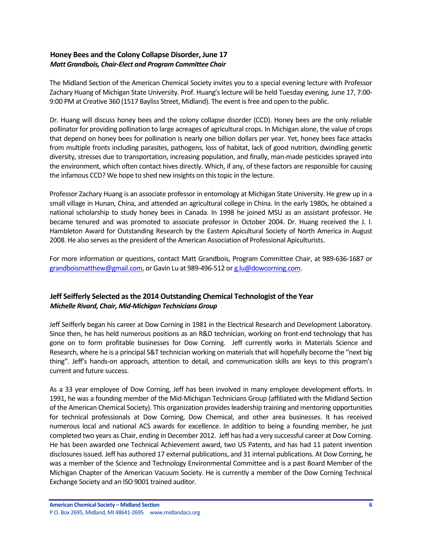## <span id="page-5-0"></span>**Honey Bees and the Colony Collapse Disorder, June 17** *Matt Grandbois, Chair-Elect and Program Committee Chair*

The Midland Section of the American Chemical Society invites you to a special evening lecture with Professor Zachary Huang of Michigan State University. Prof. Huang's lecture will be held Tuesday evening, June 17, 7:00- 9:00 PM at Creative 360 (1517 Bayliss Street, Midland). The event is free and open to the public.

Dr. Huang will discuss honey bees and the colony collapse disorder (CCD). Honey bees are the only reliable pollinator for providing pollination to large acreages of agricultural crops. In Michigan alone, the value of crops that depend on honey bees for pollination is nearly one billion dollars per year. Yet, honey bees face attacks from multiple fronts including parasites, pathogens, loss of habitat, lack of good nutrition, dwindling genetic diversity, stresses due to transportation, increasing population, and finally, man-made pesticides sprayed into the environment, which often contact hives directly. Which, if any, of these factors are responsible for causing the infamous CCD? We hope to shed new insights on this topic in the lecture.

Professor Zachary Huang is an associate professor in entomology at Michigan State University. He grew up in a small village in Hunan, China, and attended an agricultural college in China. In the early 1980s, he obtained a national scholarship to study honey bees in Canada. In 1998 he joined MSU as an assistant professor. He became tenured and was promoted to associate professor in October 2004. Dr. Huang received the J. I. Hambleton Award for Outstanding Research by the Eastern Apicultural Society of North America in August 2008. He also serves as the president of the American Association of Professional Apiculturists.

For more information or questions, contact Matt Grandbois, Program Committee Chair, at 989-636-1687 or [grandboismatthew@gmail.com,](mailto:grandboismatthew@gmail.com) or Gavin Lu at 989-496-512 o[r g.lu@dowcorning.com.](mailto:g.lu@dowcorning.com)

# <span id="page-5-1"></span>**Jeff Seifferly Selected as the 2014 Outstanding Chemical Technologist of the Year** *Michelle Rivard, Chair, Mid-Michigan Technicians Group*

Jeff Seifferly began his career at Dow Corning in 1981 in the Electrical Research and Development Laboratory. Since then, he has held numerous positions as an R&D technician, working on front-end technology that has gone on to form profitable businesses for Dow Corning. Jeff currently works in Materials Science and Research, where he is a principal S&T technician working on materials that will hopefully become the "next big thing". Jeff's hands-on approach, attention to detail, and communication skills are keys to this program's current and future success.

As a 33 year employee of Dow Corning, Jeff has been involved in many employee development efforts. In 1991, he was a founding member of the Mid-Michigan Technicians Group (affiliated with the Midland Section of the American Chemical Society). This organization provides leadership training and mentoring opportunities for technical professionals at Dow Corning, Dow Chemical, and other area businesses. It has received numerous local and national ACS awards for excellence. In addition to being a founding member, he just completed two years as Chair, ending in December 2012. Jeff has had a very successful career at Dow Corning. He has been awarded one Technical Achievement award, two US Patents, and has had 11 patent invention disclosures issued. Jeff has authored 17 external publications, and 31 internal publications. At Dow Corning, he was a member of the Science and Technology Environmental Committee and is a past Board Member of the Michigan Chapter of the American Vacuum Society. He is currently a member of the Dow Corning Technical Exchange Society and an ISO 9001 trained auditor.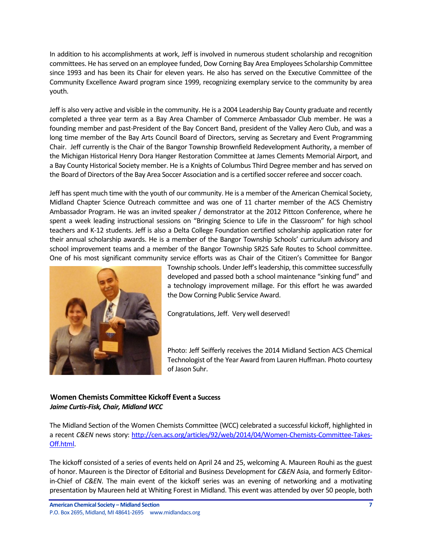In addition to his accomplishments at work, Jeff is involved in numerous student scholarship and recognition committees. He has served on an employee funded, Dow Corning Bay Area Employees Scholarship Committee since 1993 and has been its Chair for eleven years. He also has served on the Executive Committee of the Community Excellence Award program since 1999, recognizing exemplary service to the community by area youth.

Jeff is also very active and visible in the community. He is a 2004 Leadership Bay County graduate and recently completed a three year term as a Bay Area Chamber of Commerce Ambassador Club member. He was a founding member and past-President of the Bay Concert Band, president of the Valley Aero Club, and was a long time member of the Bay Arts Council Board of Directors, serving as Secretary and Event Programming Chair. Jeff currently is the Chair of the Bangor Township Brownfield Redevelopment Authority, a member of the Michigan Historical Henry Dora Hanger Restoration Committee at James Clements Memorial Airport, and a Bay County Historical Society member. He is a Knights of Columbus Third Degree member and has served on the Board of Directors of the Bay Area Soccer Association and is a certified soccer referee and soccer coach.

Jeff has spent much time with the youth of our community. He is a member of the American Chemical Society, Midland Chapter Science Outreach committee and was one of 11 charter member of the ACS Chemistry Ambassador Program. He was an invited speaker / demonstrator at the 2012 Pittcon Conference, where he spent a week leading instructional sessions on "Bringing Science to Life in the Classroom" for high school teachers and K-12 students. Jeff is also a Delta College Foundation certified scholarship application rater for their annual scholarship awards. He is a member of the Bangor Township Schools' curriculum advisory and school improvement teams and a member of the Bangor Township SR2S Safe Routes to School committee. One of his most significant community service efforts was as Chair of the Citizen's Committee for Bangor



Township schools. Under Jeff's leadership, this committee successfully developed and passed both a school maintenance "sinking fund" and a technology improvement millage. For this effort he was awarded the Dow Corning Public Service Award.

Congratulations, Jeff. Very well deserved!

Photo: Jeff Seifferly receives the 2014 Midland Section ACS Chemical Technologist of the Year Award from Lauren Huffman. Photo courtesy of Jason Suhr.

# <span id="page-6-0"></span>**Women Chemists Committee Kickoff Event a Success** *Jaime Curtis-Fisk, Chair, Midland WCC*

The Midland Section of the Women Chemists Committee (WCC) celebrated a successful kickoff, highlighted in a recent *C&EN* news story: [http://cen.acs.org/articles/92/web/2014/04/Women-Chemists-Committee-Takes-](http://cen.acs.org/articles/92/web/2014/04/Women-Chemists-Committee-Takes-Off.html)[Off.html.](http://cen.acs.org/articles/92/web/2014/04/Women-Chemists-Committee-Takes-Off.html)

The kickoff consisted of a series of events held on April 24 and 25, welcoming A. Maureen Rouhi as the guest of honor. Maureen is the Director of Editorial and Business Development for *C&EN* Asia, and formerly Editorin-Chief of *C&EN*. The main event of the kickoff series was an evening of networking and a motivating presentation by Maureen held at Whiting Forest in Midland. This event was attended by over 50 people, both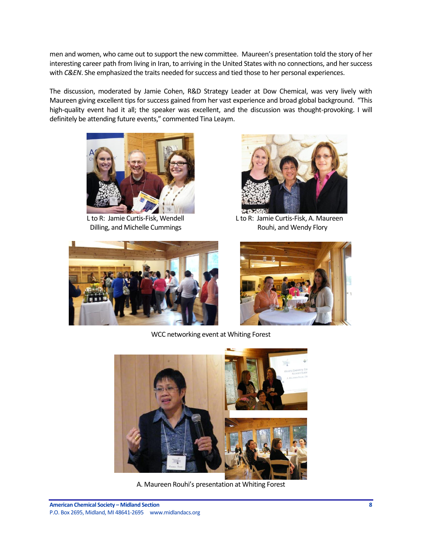men and women, who came out to support the new committee. Maureen's presentation told the story of her interesting career path from living in Iran, to arriving in the United States with no connections, and her success with *C&EN*. She emphasized the traits needed for success and tied those to her personal experiences.

The discussion, moderated by Jamie Cohen, R&D Strategy Leader at Dow Chemical, was very lively with Maureen giving excellent tips for success gained from her vast experience and broad global background. "This high-quality event had it all; the speaker was excellent, and the discussion was thought-provoking. I will definitely be attending future events," commented Tina Leaym.



Dilling, and Michelle Cummings The Rouhi, and Wendy Flory





L to R: Jamie Curtis-Fisk, Wendell Lito R: Jamie Curtis-Fisk, A. Maureen



WCC networking event at Whiting Forest



A. Maureen Rouhi's presentation at Whiting Forest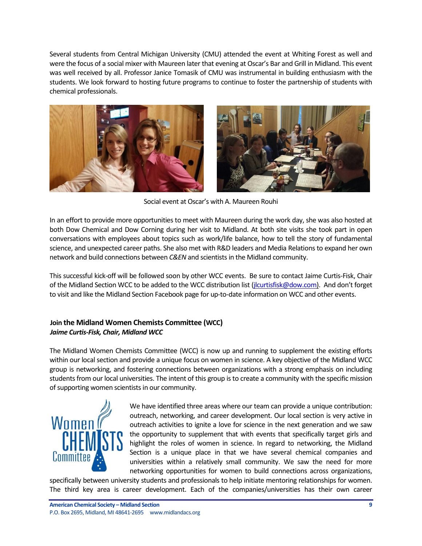Several students from Central Michigan University (CMU) attended the event at Whiting Forest as well and were the focus of a social mixer with Maureen later that evening at Oscar's Bar and Grill in Midland. This event was well received by all. Professor Janice Tomasik of CMU was instrumental in building enthusiasm with the students. We look forward to hosting future programs to continue to foster the partnership of students with chemical professionals.



Social event at Oscar's with A. Maureen Rouhi

In an effort to provide more opportunities to meet with Maureen during the work day, she was also hosted at both Dow Chemical and Dow Corning during her visit to Midland. At both site visits she took part in open conversations with employees about topics such as work/life balance, how to tell the story of fundamental science, and unexpected career paths. She also met with R&D leaders and Media Relations to expand her own network and build connections between *C&EN* and scientists in the Midland community.

This successful kick-off will be followed soon by other WCC events. Be sure to contact Jaime Curtis-Fisk, Chair of the Midland Section WCC to be added to the WCC distribution list [\(jlcurtisfisk@dow.com\)](mailto:jlcurtisfisk@dow.com). And don't forget to visit and like the Midland Section Facebook page for up-to-date information on WCC and other events.

# <span id="page-8-0"></span>**Join the Midland Women Chemists Committee (WCC)** *Jaime Curtis-Fisk, Chair, Midland WCC*

The Midland Women Chemists Committee (WCC) is now up and running to supplement the existing efforts within our local section and provide a unique focus on women in science. A key objective of the Midland WCC group is networking, and fostering connections between organizations with a strong emphasis on including students from our local universities. The intent of this group is to create a community with the specific mission of supporting women scientists in our community.



We have identified three areas where our team can provide a unique contribution: outreach, networking, and career development. Our local section is very active in outreach activities to ignite a love for science in the next generation and we saw the opportunity to supplement that with events that specifically target girls and highlight the roles of women in science. In regard to networking, the Midland Section is a unique place in that we have several chemical companies and universities within a relatively small community. We saw the need for more networking opportunities for women to build connections across organizations,

specifically between university students and professionals to help initiate mentoring relationships for women. The third key area is career development. Each of the companies/universities has their own career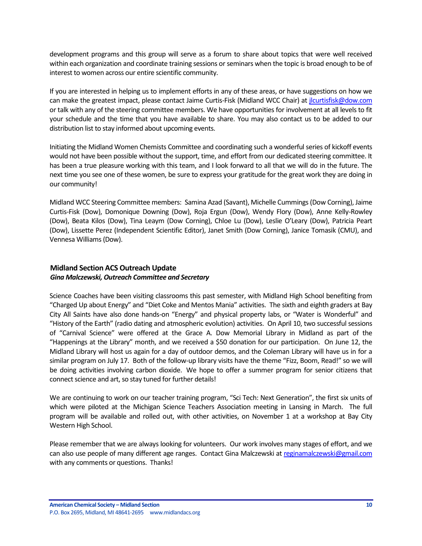development programs and this group will serve as a forum to share about topics that were well received within each organization and coordinate training sessions or seminars when the topic is broad enough to be of interest to women across our entire scientific community.

If you are interested in helping us to implement efforts in any of these areas, or have suggestions on how we can make the greatest impact, please contact Jaime Curtis-Fisk (Midland WCC Chair) a[t jlcurtisfisk@dow.com](mailto:jlcurtisfisk@dow.com) or talk with any of the steering committee members. We have opportunities for involvement at all levels to fit your schedule and the time that you have available to share. You may also contact us to be added to our distribution list to stay informed about upcoming events.

Initiating the Midland Women Chemists Committee and coordinating such a wonderful series of kickoff events would not have been possible without the support, time, and effort from our dedicated steering committee. It has been a true pleasure working with this team, and I look forward to all that we will do in the future. The next time you see one of these women, be sure to express your gratitude for the great work they are doing in our community!

Midland WCC Steering Committee members: Samina Azad (Savant), Michelle Cummings (Dow Corning), Jaime Curtis-Fisk (Dow), Domonique Downing (Dow), Roja Ergun (Dow), Wendy Flory (Dow), Anne Kelly-Rowley (Dow), Beata Kilos (Dow), Tina Leaym (Dow Corning), Chloe Lu (Dow), Leslie O'Leary (Dow), Patricia Peart (Dow), Lissette Perez (Independent Scientific Editor), Janet Smith (Dow Corning), Janice Tomasik (CMU), and Vennesa Williams (Dow).

# <span id="page-9-0"></span>**Midland Section ACS Outreach Update** *Gina Malczewski, Outreach Committee and Secretary*

Science Coaches have been visiting classrooms this past semester, with Midland High School benefiting from "Charged Up about Energy" and "Diet Coke and Mentos Mania" activities. The sixth and eighth graders at Bay City All Saints have also done hands-on "Energy" and physical property labs, or "Water is Wonderful" and "History of the Earth" (radio dating and atmospheric evolution) activities. On April 10, two successful sessions of "Carnival Science" were offered at the Grace A. Dow Memorial Library in Midland as part of the "Happenings at the Library" month, and we received a \$50 donation for our participation. On June 12, the Midland Library will host us again for a day of outdoor demos, and the Coleman Library will have us in for a similar program on July 17. Both of the follow-up library visits have the theme "Fizz, Boom, Read!" so we will be doing activities involving carbon dioxide. We hope to offer a summer program for senior citizens that connect science and art, so stay tuned for further details!

We are continuing to work on our teacher training program, "Sci Tech: Next Generation", the first six units of which were piloted at the Michigan Science Teachers Association meeting in Lansing in March. The full program will be available and rolled out, with other activities, on November 1 at a workshop at Bay City Western High School.

Please remember that we are always looking for volunteers. Our work involves many stages of effort, and we can also use people of many different age ranges. Contact Gina Malczewski a[t reginamalczewski@gmail.com](mailto:reginamalczewski@gmail.com) with any comments or questions. Thanks!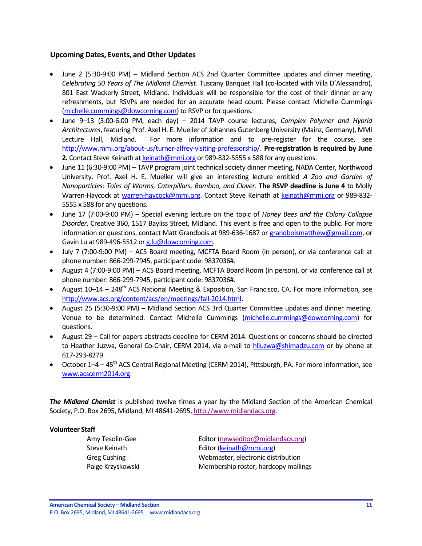## <span id="page-10-0"></span>**Upcoming Dates, Events, and Other Updates**

- June 2 (5:30-9:00 PM) Midland Section ACS 2nd Quarter Committee updates and dinner meeting, *Celebrating 50 Years of The Midland Chemist*. Tuscany Banquet Hall (co-located with Villa D'Alessandro), 801 East Wackerly Street, Midland. Individuals will be responsible for the cost of their dinner or any refreshments, but RSVPs are needed for an accurate head count. Please contact Michelle Cummings [\(michelle.cummings@dowcorning.com\)](mailto:michelle.cummings@dowcorning.com) to RSVP or for questions.
- June 9–13 (3:00-6:00 PM, each day) 2014 TAVP course lectures, *Complex Polymer and Hybrid Architectures*, featuring Prof. Axel H. E. Mueller of Johannes Gutenberg University (Mainz, Germany), MMI Lecture Hall, Midland. For more information and to pre-register for the course, see [http://www.mmi.org/about-us/turner-alfrey-visiting-professorship/.](http://www.mmi.org/about-us/turner-alfrey-visiting-professorship/) **Pre-registration is required by June 2.** Contact Steve Keinath a[t keinath@mmi.org](mailto:keinath@mmi.org) or 989-832-5555 x 588 for any questions.
- June 11 (6:30-9:00 PM) TAVP program joint technical society dinner meeting, NADA Center, Northwood University. Prof. Axel H. E. Mueller will give an interesting lecture entitled *A Zoo and Garden of Nanoparticles: Tales of Worms, Caterpillars, Bamboo, and Clover*. **The RSVP deadline is June 4** to Molly Warren-Haycock at [warren-haycock@mmi.org.](mailto:warren-haycock@mmi.org) Contact Steve Keinath at [keinath@mmi.org](mailto:keinath@mmi.org) or 989-832-5555 x 588 for any questions.
- June 17 (7:00-9:00 PM) Special evening lecture on the topic of *Honey Bees and the Colony Collapse Disorder*, Creative 360, 1517 Bayliss Street, Midland. This event is free and open to the public. For more information or questions, contact Matt Grandbois at 989-636-1687 or [grandboismatthew@gmail.com,](mailto:grandboismatthew@gmail.com) or Gavin Lu at 989-496-5512 o[r g.lu@dowcorning.com.](mailto:g.lu@dowcorning.com)
- July 7 (7:00-9:00 PM) ACS Board meeting, MCFTA Board Room (in person), or via conference call at phone number: 866-299-7945, participant code: 9837036#.
- August 4 (7:00-9:00 PM) ACS Board meeting, MCFTA Board Room (in person), or via conference call at phone number: 866-299-7945, participant code: 9837036#.
- August  $10-14 248$ <sup>th</sup> ACS National Meeting & Exposition, San Francisco, CA. For more information, see [http://www.acs.org/content/acs/en/meetings/fall-2014.html.](http://www.acs.org/content/acs/en/meetings/fall-2014.html)
- August 25 (5:30-9:00 PM) Midland Section ACS 3rd Quarter Committee updates and dinner meeting. Venue to be determined. Contact Michelle Cummings [\(michelle.cummings@dowcorning.com\)](mailto:michelle.cummings@dowcorning.com) for questions.
- August 29 Call for papers abstracts deadline for CERM 2014. Questions or concerns should be directed to Heather Juzwa, General Co-Chair, CERM 2014, via e-mail to [hljuzwa@shimadzu.com](mailto:hljuzwa@shimadzu.com) or by phone at 617-293-8279.
- $\bullet$  October 1–4 45<sup>th</sup> ACS Central Regional Meeting (CERM 2014), Pittsburgh, PA. For more information, see [www.acscerm2014.org.](http://www.acscerm2014.org/)

*The Midland Chemist* is published twelve times a year by the Midland Section of the American Chemical Society, P.O. Box 2695, Midland, MI 48641-2695[, http://www.midlandacs.org.](http://www.midlandacs.org/)

### **Volunteer Staff**

Amy Tesolin-Gee Editor [\(newseditor@midlandacs.org\)](mailto:newseditor@midlandacs.org) Steve Keinath **Editor** [\(keinath@mmi.org\)](mailto:keinath@mmi.org) Greg Cushing Webmaster, electronic distribution Paige Krzyskowski Membership roster, hardcopy mailings